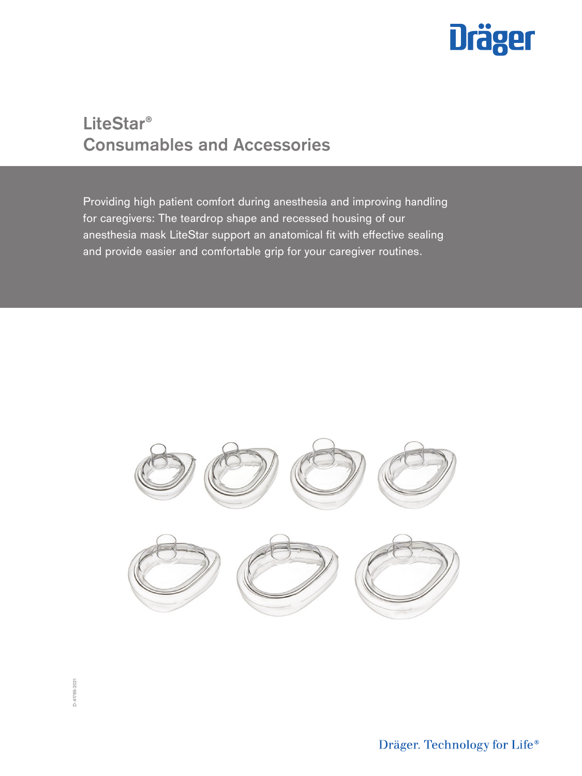

# **LiteStar® Consumables and Accessories**

Providing high patient comfort during anesthesia and improving handling for caregivers: The teardrop shape and recessed housing of our anesthesia mask LiteStar support an anatomical fit with effective sealing and provide easier and comfortable grip for your caregiver routines.

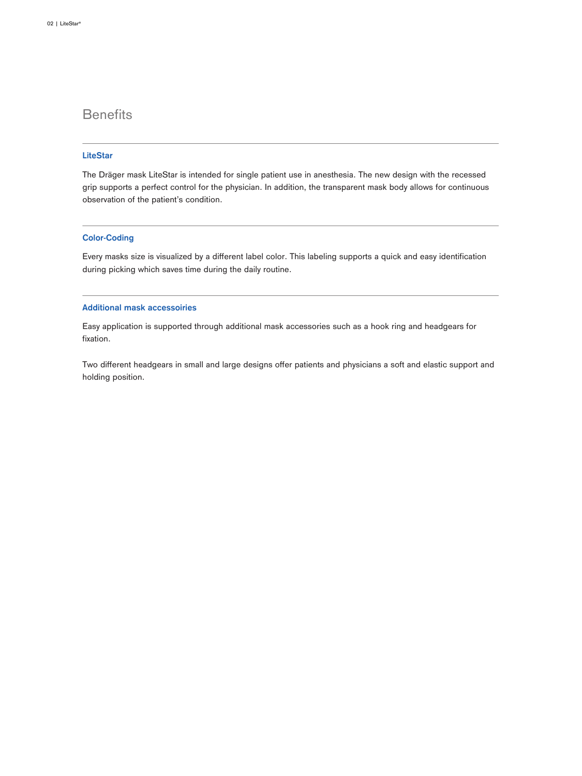# **Benefits**

## **LiteStar**

The Dräger mask LiteStar is intended for single patient use in anesthesia. The new design with the recessed grip supports a perfect control for the physician. In addition, the transparent mask body allows for continuous observation of the patient's condition.

## **Color-Coding**

Every masks size is visualized by a different label color. This labeling supports a quick and easy identification during picking which saves time during the daily routine.

### **Additional mask accessoiries**

Easy application is supported through additional mask accessories such as a hook ring and headgears for fixation.

Two different headgears in small and large designs offer patients and physicians a soft and elastic support and holding position.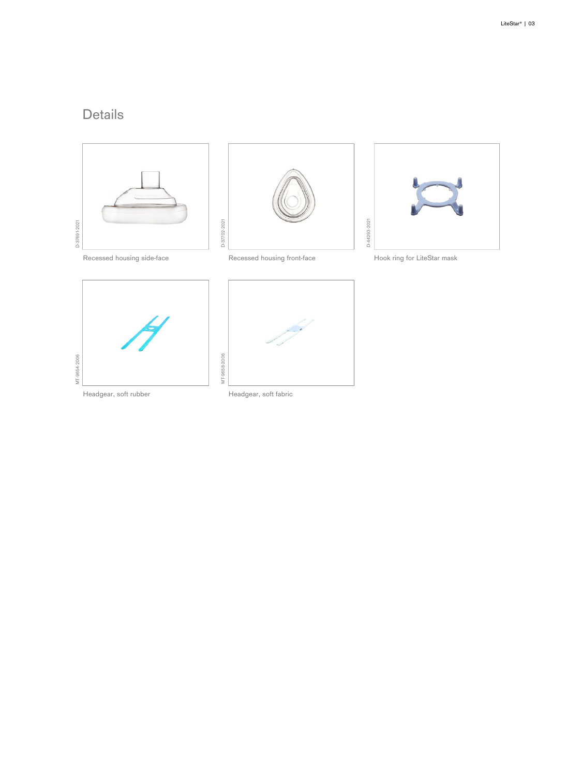# Details





D-37702-2021

D-37702-2021

MT-9658-2006



Recessed housing side-face **Recessed housing front-face** Hook ring for LiteStar mask

D-44293-2021